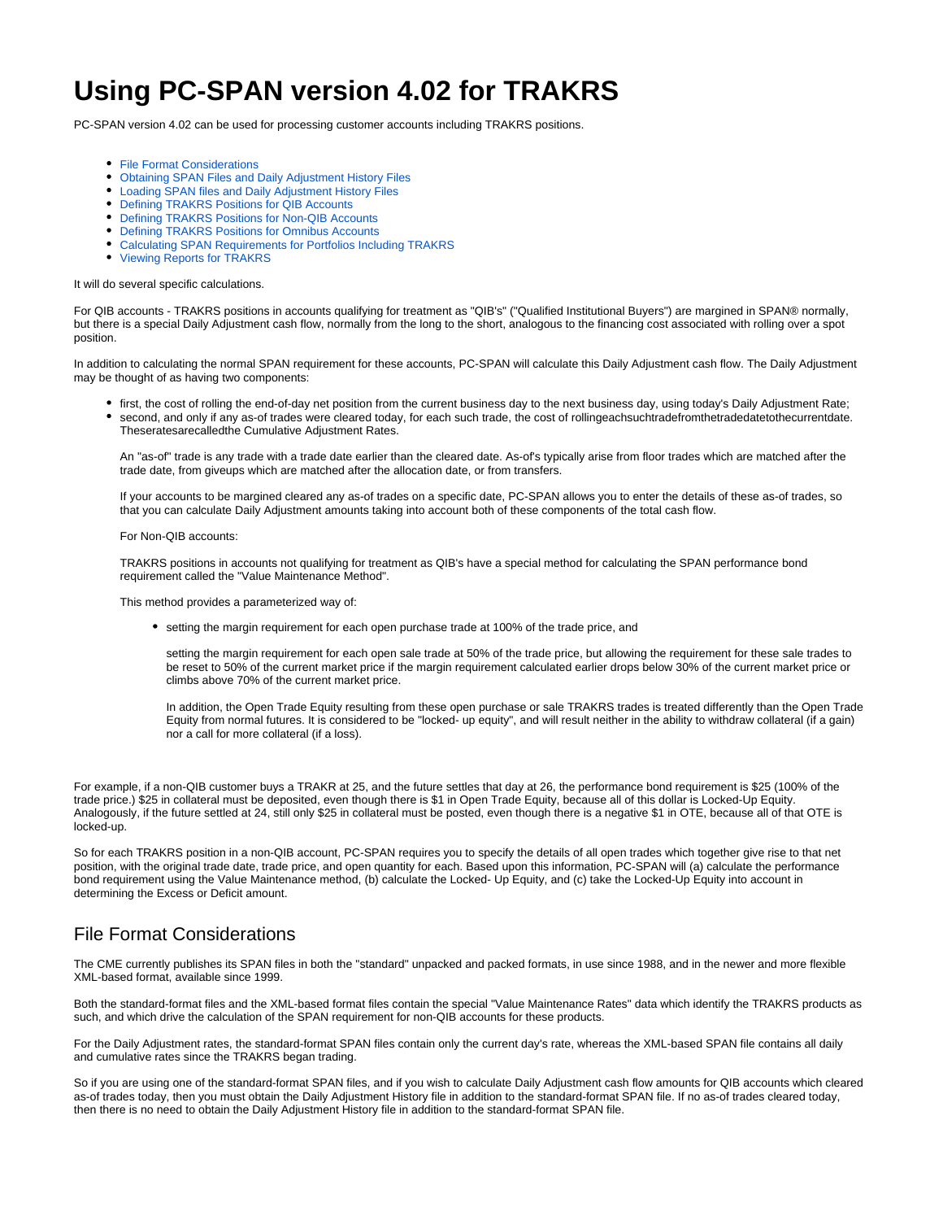# **Using PC-SPAN version 4.02 for TRAKRS**

PC-SPAN version 4.02 can be used for processing customer accounts including TRAKRS positions.

- [File Format Considerations](#page-0-0)
- [Obtaining SPAN Files and Daily Adjustment History Files](#page-1-0)
- [Loading SPAN files and Daily Adjustment History Files](#page-1-1)
- [Defining TRAKRS Positions for QIB Accounts](#page-1-2)
- [Defining TRAKRS Positions for Non-QIB Accounts](#page-1-3)
- [Defining TRAKRS Positions for Omnibus Accounts](#page-2-0)
- [Calculating SPAN Requirements for Portfolios Including TRAKRS](#page-2-1)
- [Viewing Reports for TRAKRS](#page-3-0)

#### It will do several specific calculations.

For QIB accounts - TRAKRS positions in accounts qualifying for treatment as "QIB's" ("Qualified Institutional Buyers") are margined in SPAN® normally, but there is a special Daily Adjustment cash flow, normally from the long to the short, analogous to the financing cost associated with rolling over a spot position.

In addition to calculating the normal SPAN requirement for these accounts, PC-SPAN will calculate this Daily Adjustment cash flow. The Daily Adjustment may be thought of as having two components:

- first, the cost of rolling the end-of-day net position from the current business day to the next business day, using today's Daily Adjustment Rate; second, and only if any as-of trades were cleared today, for each such trade, the cost of rollingeachsuchtradefromthetradedatetothecurrentdate.
- Theseratesarecalledthe Cumulative Adjustment Rates.

An "as-of" trade is any trade with a trade date earlier than the cleared date. As-of's typically arise from floor trades which are matched after the trade date, from giveups which are matched after the allocation date, or from transfers.

If your accounts to be margined cleared any as-of trades on a specific date, PC-SPAN allows you to enter the details of these as-of trades, so that you can calculate Daily Adjustment amounts taking into account both of these components of the total cash flow.

#### For Non-QIB accounts:

TRAKRS positions in accounts not qualifying for treatment as QIB's have a special method for calculating the SPAN performance bond requirement called the "Value Maintenance Method".

This method provides a parameterized way of:

setting the margin requirement for each open purchase trade at 100% of the trade price, and

setting the margin requirement for each open sale trade at 50% of the trade price, but allowing the requirement for these sale trades to be reset to 50% of the current market price if the margin requirement calculated earlier drops below 30% of the current market price or climbs above 70% of the current market price.

In addition, the Open Trade Equity resulting from these open purchase or sale TRAKRS trades is treated differently than the Open Trade Equity from normal futures. It is considered to be "locked- up equity", and will result neither in the ability to withdraw collateral (if a gain) nor a call for more collateral (if a loss).

For example, if a non-QIB customer buys a TRAKR at 25, and the future settles that day at 26, the performance bond requirement is \$25 (100% of the trade price.) \$25 in collateral must be deposited, even though there is \$1 in Open Trade Equity, because all of this dollar is Locked-Up Equity. Analogously, if the future settled at 24, still only \$25 in collateral must be posted, even though there is a negative \$1 in OTE, because all of that OTE is locked-up.

So for each TRAKRS position in a non-QIB account, PC-SPAN requires you to specify the details of all open trades which together give rise to that net position, with the original trade date, trade price, and open quantity for each. Based upon this information, PC-SPAN will (a) calculate the performance bond requirement using the Value Maintenance method, (b) calculate the Locked- Up Equity, and (c) take the Locked-Up Equity into account in determining the Excess or Deficit amount.

## <span id="page-0-0"></span>File Format Considerations

The CME currently publishes its SPAN files in both the "standard" unpacked and packed formats, in use since 1988, and in the newer and more flexible XML-based format, available since 1999.

Both the standard-format files and the XML-based format files contain the special "Value Maintenance Rates" data which identify the TRAKRS products as such, and which drive the calculation of the SPAN requirement for non-QIB accounts for these products.

For the Daily Adjustment rates, the standard-format SPAN files contain only the current day's rate, whereas the XML-based SPAN file contains all daily and cumulative rates since the TRAKRS began trading.

So if you are using one of the standard-format SPAN files, and if you wish to calculate Daily Adjustment cash flow amounts for QIB accounts which cleared as-of trades today, then you must obtain the Daily Adjustment History file in addition to the standard-format SPAN file. If no as-of trades cleared today, then there is no need to obtain the Daily Adjustment History file in addition to the standard-format SPAN file.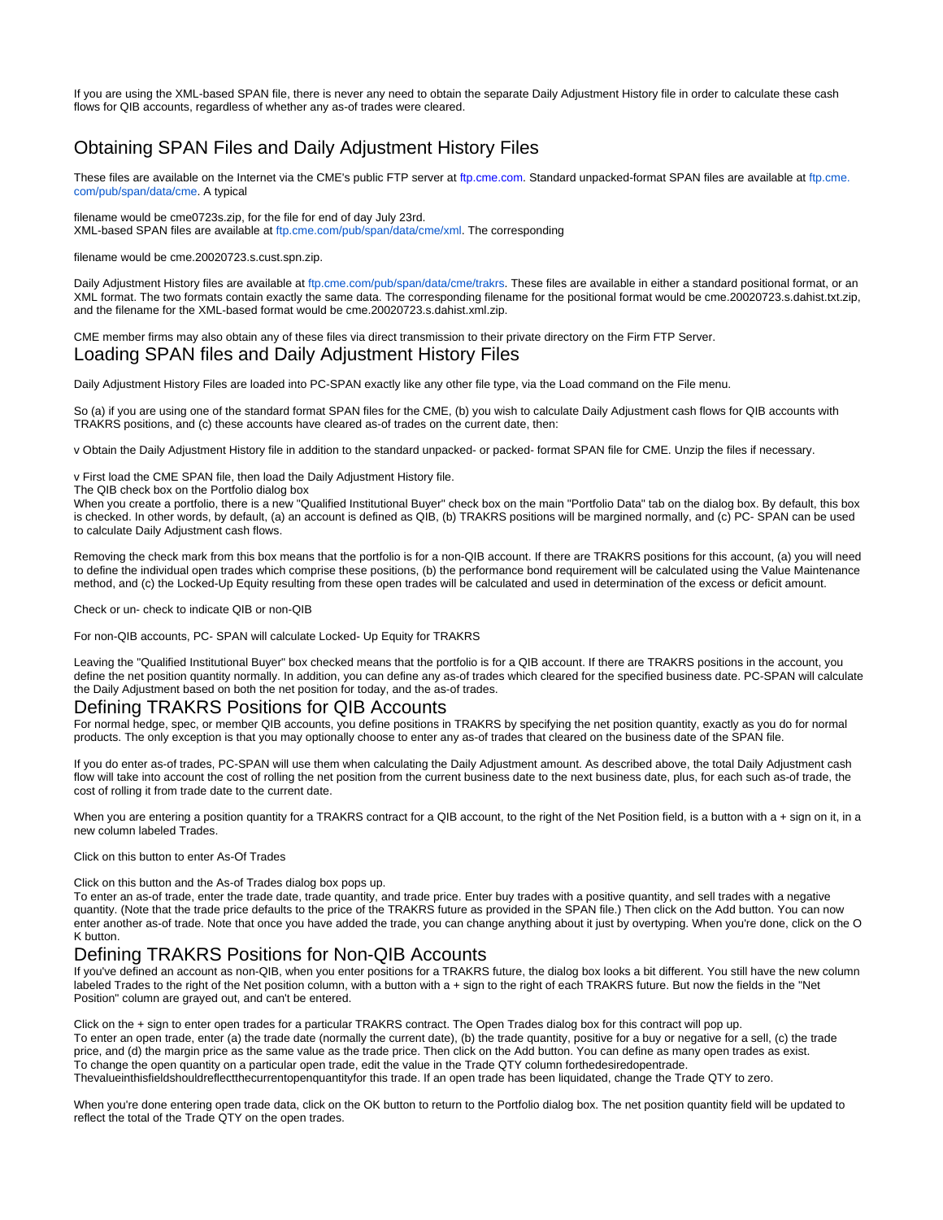If you are using the XML-based SPAN file, there is never any need to obtain the separate Daily Adjustment History file in order to calculate these cash flows for QIB accounts, regardless of whether any as-of trades were cleared.

### <span id="page-1-0"></span>Obtaining SPAN Files and Daily Adjustment History Files

These files are available on the Internet via the CME's public FTP server at [ftp.cme.](http://ftp.cme.com/pub/span/data/cme)com. Standard unpacked-format SPAN files are available at ftp.cme. [com/pub/span/data/cme](http://ftp.cme.com/pub/span/data/cme). A typical

filename would be cme0723s.zip, for the file for end of day July 23rd. XML-based SPAN files are available at [ftp.cme.com/pub/span/data/cme/xml.](http://ftp.cme.com/pub/span/data/cme/xml) The corresponding

filename would be cme.20020723.s.cust.spn.zip.

Daily Adjustment History files are available at [ftp.cme.com/pub/span/data/cme/trakrs.](http://ftp.cme.com/pub/span/data/cme/trakrs) These files are available in either a standard positional format, or an XML format. The two formats contain exactly the same data. The corresponding filename for the positional format would be cme.20020723.s.dahist.txt.zip, and the filename for the XML-based format would be cme.20020723.s.dahist.xml.zip.

<span id="page-1-1"></span>CME member firms may also obtain any of these files via direct transmission to their private directory on the Firm FTP Server. Loading SPAN files and Daily Adjustment History Files

Daily Adjustment History Files are loaded into PC-SPAN exactly like any other file type, via the Load command on the File menu.

So (a) if you are using one of the standard format SPAN files for the CME, (b) you wish to calculate Daily Adjustment cash flows for QIB accounts with TRAKRS positions, and (c) these accounts have cleared as-of trades on the current date, then:

v Obtain the Daily Adjustment History file in addition to the standard unpacked- or packed- format SPAN file for CME. Unzip the files if necessary.

v First load the CME SPAN file, then load the Daily Adjustment History file.

The QIB check box on the Portfolio dialog box

When you create a portfolio, there is a new "Qualified Institutional Buyer" check box on the main "Portfolio Data" tab on the dialog box. By default, this box is checked. In other words, by default, (a) an account is defined as QIB, (b) TRAKRS positions will be margined normally, and (c) PC- SPAN can be used to calculate Daily Adjustment cash flows.

Removing the check mark from this box means that the portfolio is for a non-QIB account. If there are TRAKRS positions for this account, (a) you will need to define the individual open trades which comprise these positions, (b) the performance bond requirement will be calculated using the Value Maintenance method, and (c) the Locked-Up Equity resulting from these open trades will be calculated and used in determination of the excess or deficit amount.

Check or un- check to indicate QIB or non-QIB

For non-QIB accounts, PC- SPAN will calculate Locked- Up Equity for TRAKRS

Leaving the "Qualified Institutional Buyer" box checked means that the portfolio is for a QIB account. If there are TRAKRS positions in the account, you define the net position quantity normally. In addition, you can define any as-of trades which cleared for the specified business date. PC-SPAN will calculate the Daily Adjustment based on both the net position for today, and the as-of trades.

#### <span id="page-1-2"></span>Defining TRAKRS Positions for QIB Accounts

For normal hedge, spec, or member QIB accounts, you define positions in TRAKRS by specifying the net position quantity, exactly as you do for normal products. The only exception is that you may optionally choose to enter any as-of trades that cleared on the business date of the SPAN file.

If you do enter as-of trades, PC-SPAN will use them when calculating the Daily Adjustment amount. As described above, the total Daily Adjustment cash flow will take into account the cost of rolling the net position from the current business date to the next business date, plus, for each such as-of trade, the cost of rolling it from trade date to the current date.

When you are entering a position quantity for a TRAKRS contract for a QIB account, to the right of the Net Position field, is a button with a  $+$  sign on it, in a new column labeled Trades.

Click on this button to enter As-Of Trades

Click on this button and the As-of Trades dialog box pops up.

To enter an as-of trade, enter the trade date, trade quantity, and trade price. Enter buy trades with a positive quantity, and sell trades with a negative quantity. (Note that the trade price defaults to the price of the TRAKRS future as provided in the SPAN file.) Then click on the Add button. You can now enter another as-of trade. Note that once you have added the trade, you can change anything about it just by overtyping. When you're done, click on the O K button.

#### <span id="page-1-3"></span>Defining TRAKRS Positions for Non-QIB Accounts

If you've defined an account as non-QIB, when you enter positions for a TRAKRS future, the dialog box looks a bit different. You still have the new column labeled Trades to the right of the Net position column, with a button with a + sign to the right of each TRAKRS future. But now the fields in the "Net Position" column are grayed out, and can't be entered.

Click on the + sign to enter open trades for a particular TRAKRS contract. The Open Trades dialog box for this contract will pop up. To enter an open trade, enter (a) the trade date (normally the current date), (b) the trade quantity, positive for a buy or negative for a sell, (c) the trade price, and (d) the margin price as the same value as the trade price. Then click on the Add button. You can define as many open trades as exist. To change the open quantity on a particular open trade, edit the value in the Trade QTY column forthedesiredopentrade. Thevalueinthisfieldshouldreflectthecurrentopenquantityfor this trade. If an open trade has been liquidated, change the Trade QTY to zero.

When you're done entering open trade data, click on the OK button to return to the Portfolio dialog box. The net position quantity field will be updated to reflect the total of the Trade QTY on the open trades.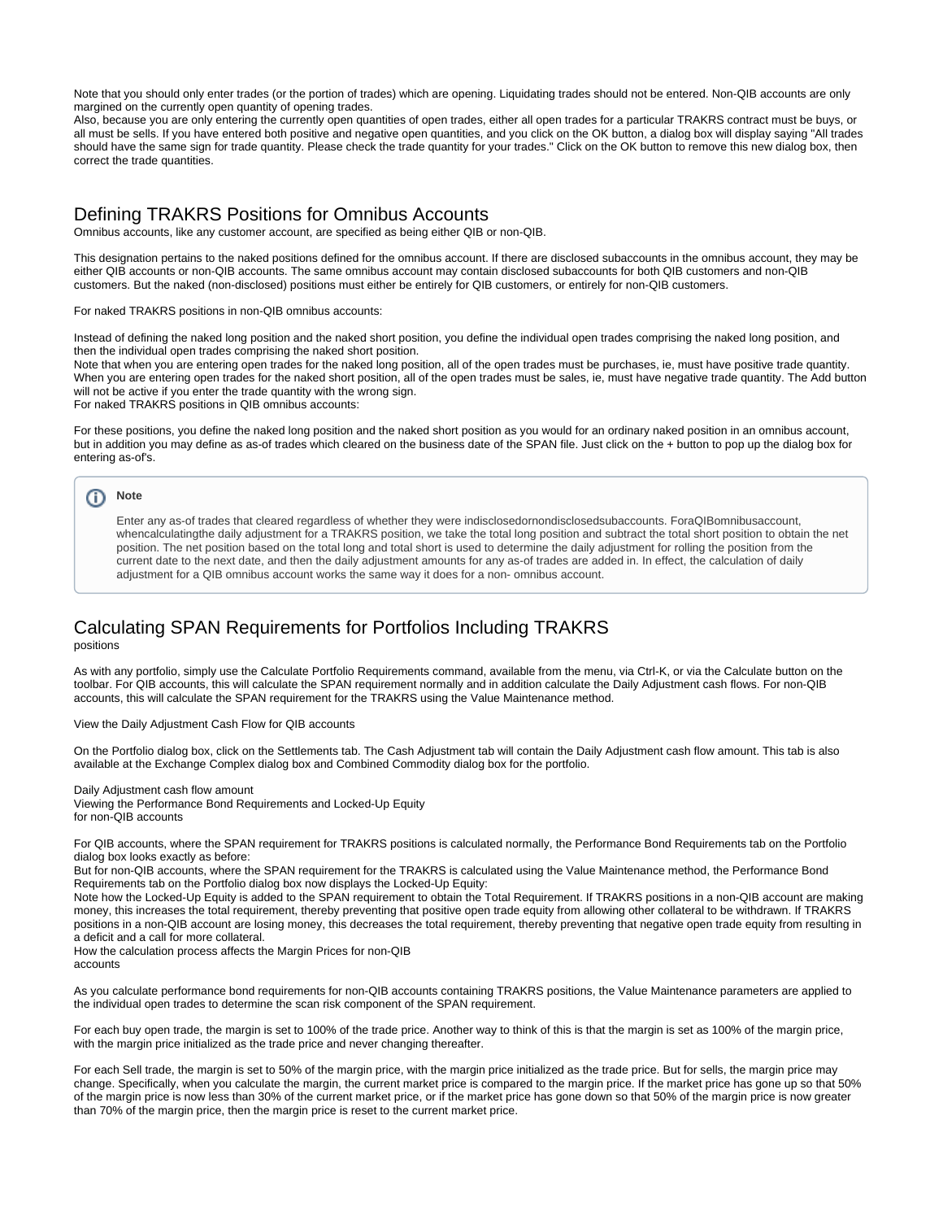Note that you should only enter trades (or the portion of trades) which are opening. Liquidating trades should not be entered. Non-QIB accounts are only margined on the currently open quantity of opening trades.

Also, because you are only entering the currently open quantities of open trades, either all open trades for a particular TRAKRS contract must be buys, or all must be sells. If you have entered both positive and negative open quantities, and you click on the OK button, a dialog box will display saying "All trades should have the same sign for trade quantity. Please check the trade quantity for your trades." Click on the OK button to remove this new dialog box, then correct the trade quantities.

#### <span id="page-2-0"></span>Defining TRAKRS Positions for Omnibus Accounts

Omnibus accounts, like any customer account, are specified as being either QIB or non-QIB.

This designation pertains to the naked positions defined for the omnibus account. If there are disclosed subaccounts in the omnibus account, they may be either QIB accounts or non-QIB accounts. The same omnibus account may contain disclosed subaccounts for both QIB customers and non-QIB customers. But the naked (non-disclosed) positions must either be entirely for QIB customers, or entirely for non-QIB customers.

For naked TRAKRS positions in non-QIB omnibus accounts:

Instead of defining the naked long position and the naked short position, you define the individual open trades comprising the naked long position, and then the individual open trades comprising the naked short position.

Note that when you are entering open trades for the naked long position, all of the open trades must be purchases, ie, must have positive trade quantity. When you are entering open trades for the naked short position, all of the open trades must be sales, ie, must have negative trade quantity. The Add button will not be active if you enter the trade quantity with the wrong sign.

For naked TRAKRS positions in QIB omnibus accounts:

For these positions, you define the naked long position and the naked short position as you would for an ordinary naked position in an omnibus account, but in addition you may define as as-of trades which cleared on the business date of the SPAN file. Just click on the + button to pop up the dialog box for entering as-of's.

#### ത **Note**

Enter any as-of trades that cleared regardless of whether they were indisclosedornondisclosedsubaccounts. ForaQIBomnibusaccount, whencalculatingthe daily adjustment for a TRAKRS position, we take the total long position and subtract the total short position to obtain the net position. The net position based on the total long and total short is used to determine the daily adjustment for rolling the position from the current date to the next date, and then the daily adjustment amounts for any as-of trades are added in. In effect, the calculation of daily adjustment for a QIB omnibus account works the same way it does for a non- omnibus account.

### <span id="page-2-1"></span>Calculating SPAN Requirements for Portfolios Including TRAKRS

positions

As with any portfolio, simply use the Calculate Portfolio Requirements command, available from the menu, via Ctrl-K, or via the Calculate button on the toolbar. For QIB accounts, this will calculate the SPAN requirement normally and in addition calculate the Daily Adjustment cash flows. For non-QIB accounts, this will calculate the SPAN requirement for the TRAKRS using the Value Maintenance method.

View the Daily Adjustment Cash Flow for QIB accounts

On the Portfolio dialog box, click on the Settlements tab. The Cash Adjustment tab will contain the Daily Adjustment cash flow amount. This tab is also available at the Exchange Complex dialog box and Combined Commodity dialog box for the portfolio.

Daily Adjustment cash flow amount Viewing the Performance Bond Requirements and Locked-Up Equity for non-QIB accounts

For QIB accounts, where the SPAN requirement for TRAKRS positions is calculated normally, the Performance Bond Requirements tab on the Portfolio dialog box looks exactly as before:

But for non-QIB accounts, where the SPAN requirement for the TRAKRS is calculated using the Value Maintenance method, the Performance Bond Requirements tab on the Portfolio dialog box now displays the Locked-Up Equity:

Note how the Locked-Up Equity is added to the SPAN requirement to obtain the Total Requirement. If TRAKRS positions in a non-QIB account are making money, this increases the total requirement, thereby preventing that positive open trade equity from allowing other collateral to be withdrawn. If TRAKRS positions in a non-QIB account are losing money, this decreases the total requirement, thereby preventing that negative open trade equity from resulting in a deficit and a call for more collateral.

How the calculation process affects the Margin Prices for non-QIB accounts

As you calculate performance bond requirements for non-QIB accounts containing TRAKRS positions, the Value Maintenance parameters are applied to the individual open trades to determine the scan risk component of the SPAN requirement.

For each buv open trade, the margin is set to 100% of the trade price. Another way to think of this is that the margin is set as 100% of the margin price, with the margin price initialized as the trade price and never changing thereafter.

For each Sell trade, the margin is set to 50% of the margin price, with the margin price initialized as the trade price. But for sells, the margin price may change. Specifically, when you calculate the margin, the current market price is compared to the margin price. If the market price has gone up so that 50% of the margin price is now less than 30% of the current market price, or if the market price has gone down so that 50% of the margin price is now greater than 70% of the margin price, then the margin price is reset to the current market price.